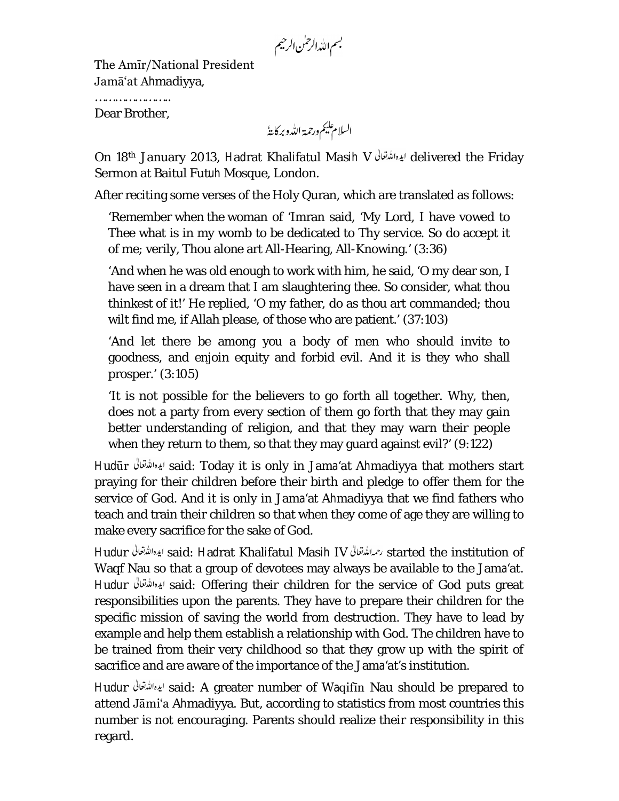بسم الله الرحمٰن الرحيم

The Amīr/National President Jamā'at Ahmadiyya,

…………………………

Dear Brother,

السلام يليم ورحمة الله وبركايةُ

On 18th January 2013, Hadrat Khalifatul Masih V delivered the Friday Sermon at Baitul Futuh Mosque, London.

After reciting some verses of the Holy Quran, which are translated as follows:

'Remember when the woman of 'Imran said, 'My Lord, I have vowed to Thee what is in my womb to be dedicated to Thy service. So do accept it of me; verily, Thou alone art All-Hearing, All-Knowing.' (3:36)

'And when he was old enough to work with him, he said, 'O my dear son, I have seen in a dream that I am slaughtering thee. So consider, what thou thinkest of it!' He replied, 'O my father, do as thou art commanded; thou wilt find me, if Allah please, of those who are patient.' (37:103)

'And let there be among you a body of men who should invite to goodness, and enjoin equity and forbid evil. And it is they who shall prosper.' (3:105)

'It is not possible for the believers to go forth all together. Why, then, does not a party from every section of them go forth that they may gain better understanding of religion, and that they may warn their people when they return to them, so that they may guard against evil?' (9:122)

Hudūr said: Today it is only in Jama'at Ahmadiyya that mothers start praying for their children before their birth and pledge to offer them for the service of God. And it is only in Jama'at Ahmadiyya that we find fathers who teach and train their children so that when they come of age they are willing to make every sacrifice for the sake of God.

Hudur ايده الله تعالى said: Hadrat Khalifatul Masih IV الإهالله تعالى started the institution of Waqf Nau so that a group of devotees may always be available to the Jama'at. Hudur said: Offering their children for the service of God puts great responsibilities upon the parents. They have to prepare their children for the specific mission of saving the world from destruction. They have to lead by example and help them establish a relationship with God. The children have to be trained from their very childhood so that they grow up with the spirit of sacrifice and are aware of the importance of the Jama'at's institution.

Hudur said: A greater number of Waqifīn Nau should be prepared to attend Jāmi'a Ahmadiyya. But, according to statistics from most countries this number is not encouraging. Parents should realize their responsibility in this regard.